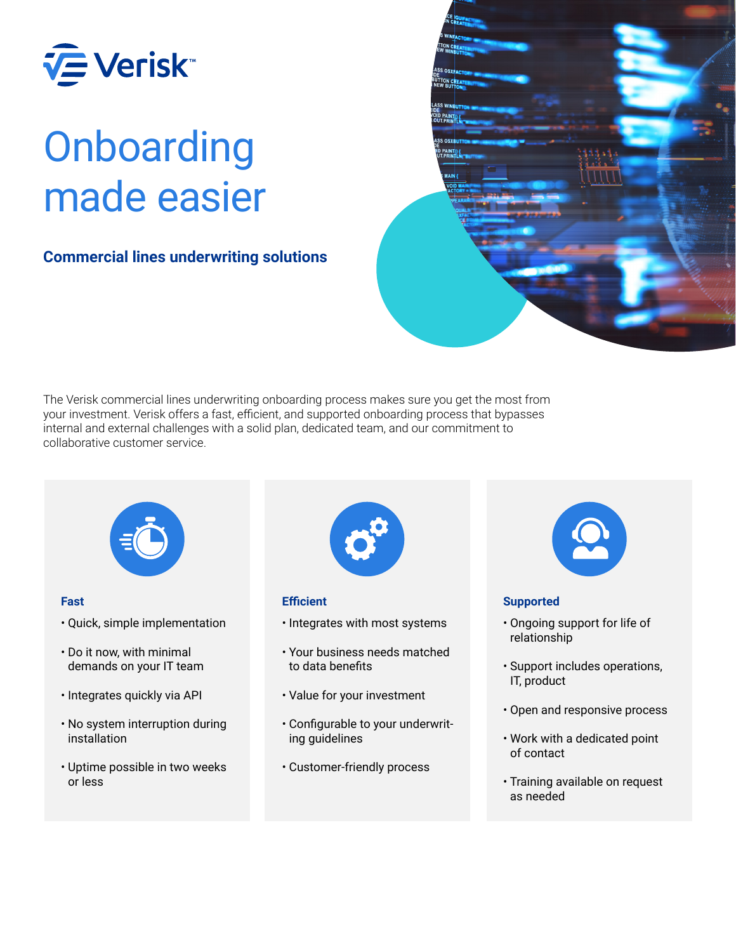

## **Onboarding** made easier

## **Commercial lines underwriting solutions**



The Verisk commercial lines underwriting onboarding process makes sure you get the most from your investment. Verisk offers a fast, efficient, and supported onboarding process that bypasses internal and external challenges with a solid plan, dedicated team, and our commitment to collaborative customer service.